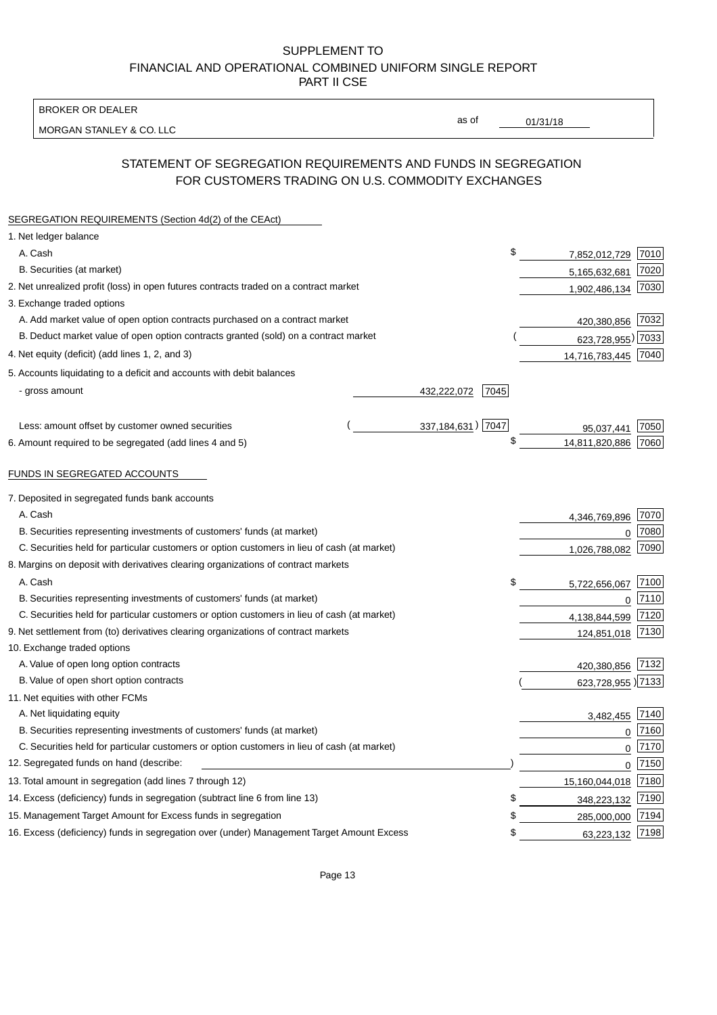BROKER OR DEALER

MORGAN STANLEY & CO. LLC

01/31/18

as of

# STATEMENT OF SEGREGATION REQUIREMENTS AND FUNDS IN SEGREGATION FOR CUSTOMERS TRADING ON U.S. COMMODITY EXCHANGES

| SEGREGATION REQUIREMENTS (Section 4d(2) of the CEAct)                                       |                     |      |                     |      |
|---------------------------------------------------------------------------------------------|---------------------|------|---------------------|------|
| 1. Net ledger balance                                                                       |                     |      |                     |      |
| A. Cash                                                                                     |                     | \$   | 7,852,012,729       | 7010 |
| B. Securities (at market)                                                                   |                     |      | 5,165,632,681       | 7020 |
| 2. Net unrealized profit (loss) in open futures contracts traded on a contract market       |                     |      | 1,902,486,134       | 7030 |
| 3. Exchange traded options                                                                  |                     |      |                     |      |
| A. Add market value of open option contracts purchased on a contract market                 |                     |      | 420,380,856 7032    |      |
| B. Deduct market value of open option contracts granted (sold) on a contract market         |                     |      | 623,728,955) 7033   |      |
| 4. Net equity (deficit) (add lines 1, 2, and 3)                                             |                     |      | 14,716,783,445 7040 |      |
| 5. Accounts liquidating to a deficit and accounts with debit balances                       |                     |      |                     |      |
| - gross amount                                                                              | 432,222,072         | 7045 |                     |      |
|                                                                                             |                     |      |                     |      |
| Less: amount offset by customer owned securities                                            | 337, 184, 631) 7047 |      | 95,037,441          | 7050 |
| 6. Amount required to be segregated (add lines 4 and 5)                                     |                     | \$   | 14,811,820,886      | 7060 |
|                                                                                             |                     |      |                     |      |
| FUNDS IN SEGREGATED ACCOUNTS                                                                |                     |      |                     |      |
| 7. Deposited in segregated funds bank accounts                                              |                     |      |                     |      |
| A. Cash                                                                                     |                     |      | 4,346,769,896       | 7070 |
| B. Securities representing investments of customers' funds (at market)                      |                     |      | $\Omega$            | 7080 |
| C. Securities held for particular customers or option customers in lieu of cash (at market) |                     |      | 1,026,788,082       | 7090 |
| 8. Margins on deposit with derivatives clearing organizations of contract markets           |                     |      |                     |      |
| A. Cash                                                                                     |                     | \$   | 5,722,656,067       | 7100 |
| B. Securities representing investments of customers' funds (at market)                      |                     |      | $\mathbf{0}$        | 7110 |
| C. Securities held for particular customers or option customers in lieu of cash (at market) |                     |      | 4,138,844,599       | 7120 |
| 9. Net settlement from (to) derivatives clearing organizations of contract markets          |                     |      | 124,851,018         | 7130 |
| 10. Exchange traded options                                                                 |                     |      |                     |      |
| A. Value of open long option contracts                                                      |                     |      | 420,380,856         | 7132 |
| B. Value of open short option contracts                                                     |                     |      | 623,728,955) 7133   |      |
| 11. Net equities with other FCMs                                                            |                     |      |                     |      |
| A. Net liquidating equity                                                                   |                     |      | 3,482,455           | 7140 |
| B. Securities representing investments of customers' funds (at market)                      |                     |      | $\mathbf 0$         | 7160 |
| C. Securities held for particular customers or option customers in lieu of cash (at market) |                     |      | 0                   | 7170 |
| 12. Segregated funds on hand (describe:                                                     |                     |      | 0                   | 7150 |
| 13. Total amount in segregation (add lines 7 through 12)                                    |                     |      | 15,160,044,018      | 7180 |
| 14. Excess (deficiency) funds in segregation (subtract line 6 from line 13)                 |                     | S    | 348,223,132         | 7190 |
| 15. Management Target Amount for Excess funds in segregation                                |                     | \$   | 285,000,000         | 7194 |
| 16. Excess (deficiency) funds in segregation over (under) Management Target Amount Excess   |                     | \$   | 63,223,132          | 7198 |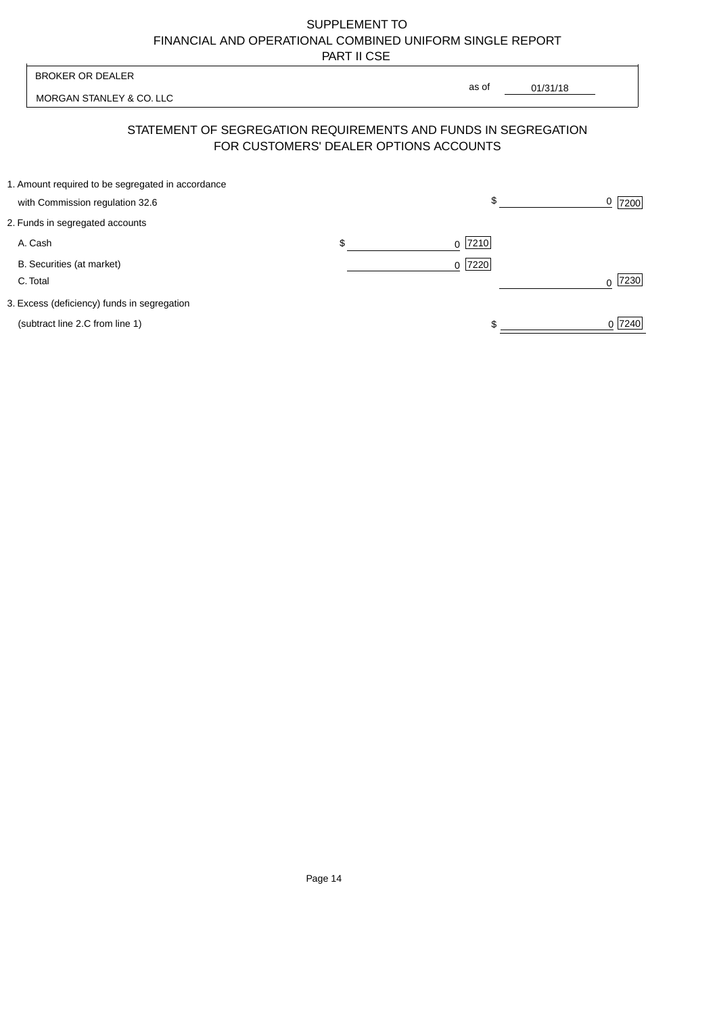MORGAN STANLEY & CO. LLC

01/31/18  $\overline{\phantom{a}}$ 

as of

# STATEMENT OF SEGREGATION REQUIREMENTS AND FUNDS IN SEGREGATION FOR CUSTOMERS' DEALER OPTIONS ACCOUNTS

| 1. Amount required to be segregated in accordance |           |        |
|---------------------------------------------------|-----------|--------|
| with Commission regulation 32.6                   | \$        | 7200   |
| 2. Funds in segregated accounts                   |           |        |
| A. Cash                                           | $0$  7210 |        |
| B. Securities (at market)                         | $0$  7220 |        |
| C. Total                                          |           | 7230   |
| 3. Excess (deficiency) funds in segregation       |           |        |
| (subtract line 2.C from line 1)                   |           | 0 7240 |
|                                                   |           |        |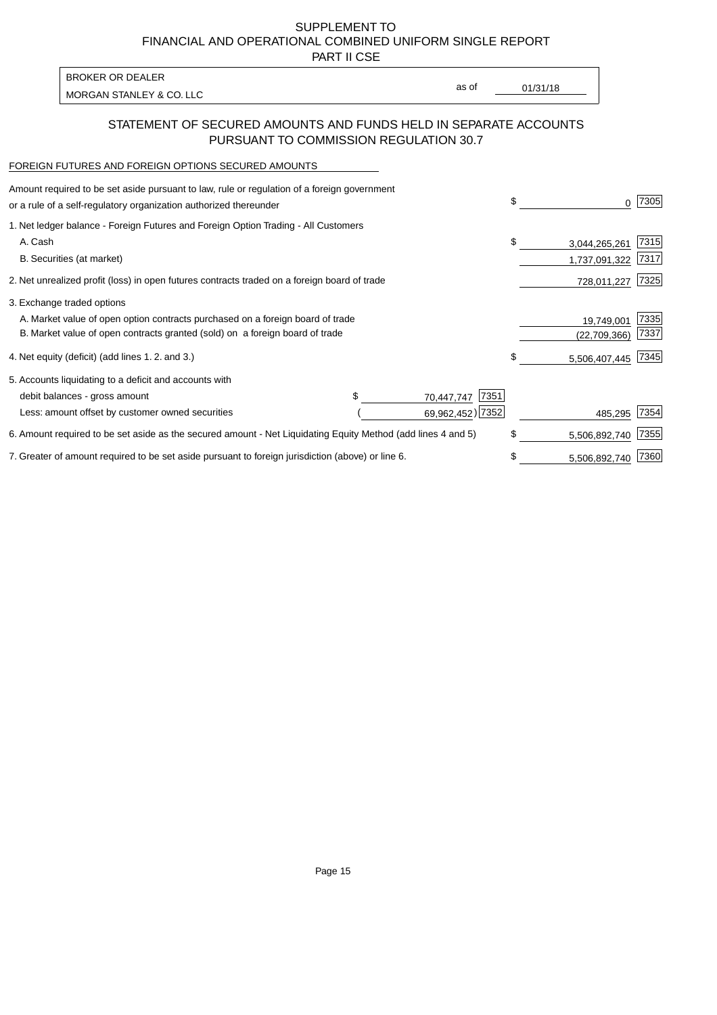PART II CSE

| BROKER OR DEALER         |       |          |
|--------------------------|-------|----------|
| MORGAN STANLEY & CO. LLC | as of | 01/31/18 |

### STATEMENT OF SECURED AMOUNTS AND FUNDS HELD IN SEPARATE ACCOUNTS PURSUANT TO COMMISSION REGULATION 30.7

#### FOREIGN FUTURES AND FOREIGN OPTIONS SECURED AMOUNTS

| 1. Net ledger balance - Foreign Futures and Foreign Option Trading - All Customers<br>A. Cash<br>\$<br>B. Securities (at market) | \$<br>O.       | 7305 |
|----------------------------------------------------------------------------------------------------------------------------------|----------------|------|
|                                                                                                                                  |                |      |
|                                                                                                                                  | 3,044,265,261  | 7315 |
|                                                                                                                                  | 1,737,091,322  | 7317 |
| 2. Net unrealized profit (loss) in open futures contracts traded on a foreign board of trade                                     | 728,011,227    | 7325 |
| 3. Exchange traded options                                                                                                       |                |      |
| A. Market value of open option contracts purchased on a foreign board of trade                                                   | 19,749,001     | 7335 |
| B. Market value of open contracts granted (sold) on a foreign board of trade                                                     | (22, 709, 366) | 7337 |
| 4. Net equity (deficit) (add lines 1. 2. and 3.)<br>\$                                                                           | 5,506,407,445  | 7345 |
| 5. Accounts liquidating to a deficit and accounts with                                                                           |                |      |
| 7351<br>debit balances - gross amount<br>70,447,747                                                                              |                |      |
| 69,962,452) 7352<br>Less: amount offset by customer owned securities                                                             | 485,295        | 7354 |
| \$<br>6. Amount required to be set aside as the secured amount - Net Liquidating Equity Method (add lines 4 and 5)               | 5,506,892,740  | 7355 |
| 7. Greater of amount required to be set aside pursuant to foreign jurisdiction (above) or line 6.<br>\$                          | 5,506,892,740  | 7360 |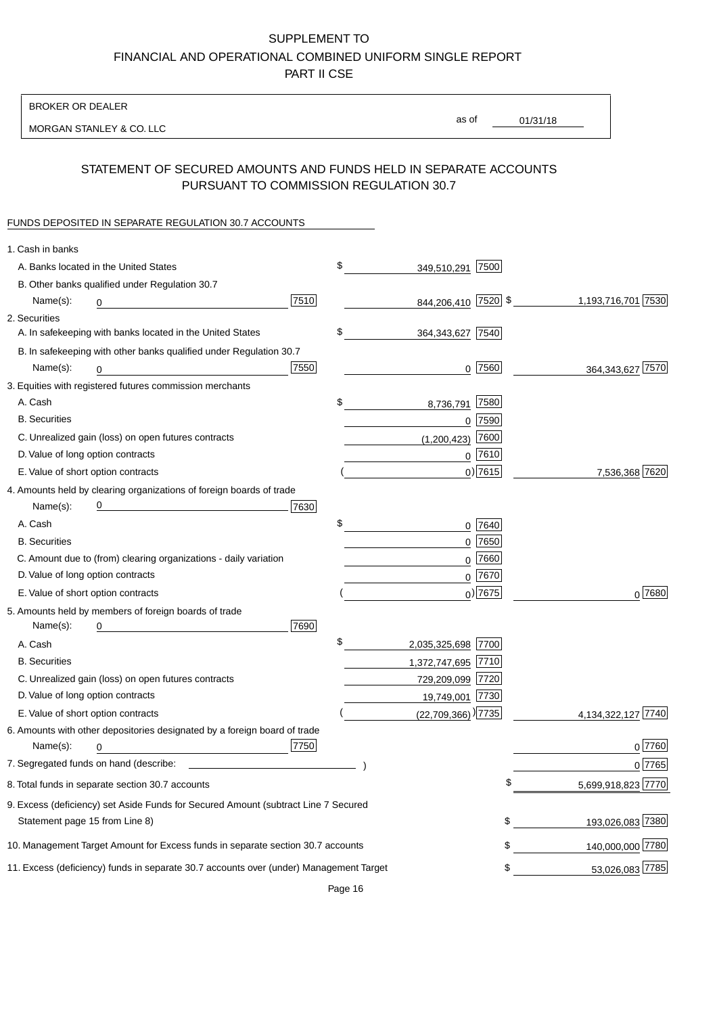BROKER OR DEALER

MORGAN STANLEY & CO. LLC

01/31/18 as of

## STATEMENT OF SECURED AMOUNTS AND FUNDS HELD IN SEPARATE ACCOUNTS PURSUANT TO COMMISSION REGULATION 30.7

#### FUNDS DEPOSITED IN SEPARATE REGULATION 30.7 ACCOUNTS

| 1. Cash in banks                   |                                                                                        |      |                                    |             |                       |
|------------------------------------|----------------------------------------------------------------------------------------|------|------------------------------------|-------------|-----------------------|
|                                    | A. Banks located in the United States                                                  |      | \$<br>349,510,291                  | 7500        |                       |
|                                    | B. Other banks qualified under Regulation 30.7                                         |      |                                    |             |                       |
| Name(s):                           | 0                                                                                      | 7510 | 844,206,410 7520 \$                |             | 1,193,716,701 7530    |
| 2. Securities                      |                                                                                        |      |                                    |             |                       |
|                                    | A. In safekeeping with banks located in the United States                              |      | \$<br>364, 343, 627 7540           |             |                       |
|                                    | B. In safekeeping with other banks qualified under Regulation 30.7                     |      |                                    |             |                       |
| Name(s):                           | 0                                                                                      | 7550 | 0                                  | 7560        | 364, 343, 627 7570    |
|                                    | 3. Equities with registered futures commission merchants                               |      |                                    |             |                       |
| A. Cash                            |                                                                                        |      | \$<br>8,736,791                    | 7580        |                       |
| <b>B.</b> Securities               |                                                                                        |      |                                    | $0$ 7590    |                       |
|                                    | C. Unrealized gain (loss) on open futures contracts                                    |      | (1,200,423)                        | 7600        |                       |
| D. Value of long option contracts  |                                                                                        |      |                                    | $0^{7610}$  |                       |
| E. Value of short option contracts |                                                                                        |      |                                    | $0)$ 7615   | 7,536,368 7620        |
|                                    | 4. Amounts held by clearing organizations of foreign boards of trade                   |      |                                    |             |                       |
| Name(s):                           |                                                                                        | 7630 |                                    |             |                       |
| A. Cash                            |                                                                                        |      | \$                                 | 0 7640      |                       |
| <b>B.</b> Securities               |                                                                                        |      |                                    | $0$ 7650    |                       |
|                                    | C. Amount due to (from) clearing organizations - daily variation                       |      | 0                                  | 7660        |                       |
| D. Value of long option contracts  |                                                                                        |      |                                    | 0 7670      |                       |
| E. Value of short option contracts |                                                                                        |      |                                    | $_0$ ) 7675 | 0 7680                |
|                                    | 5. Amounts held by members of foreign boards of trade                                  |      |                                    |             |                       |
| Name(s):                           | 0                                                                                      | 7690 |                                    |             |                       |
| A. Cash                            |                                                                                        |      | \$<br>2,035,325,698 7700           |             |                       |
| <b>B.</b> Securities               |                                                                                        |      | 1,372,747,695 7710                 |             |                       |
|                                    | C. Unrealized gain (loss) on open futures contracts                                    |      | 729,209,099 7720                   |             |                       |
| D. Value of long option contracts  |                                                                                        |      | 19,749,001 7730                    |             |                       |
| E. Value of short option contracts |                                                                                        |      | $(22,709,366)$ <sup>)</sup> [7735] |             | 7740<br>4,134,322,127 |
|                                    | 6. Amounts with other depositories designated by a foreign board of trade              |      |                                    |             |                       |
| Name(s):                           | 0                                                                                      | 7750 |                                    |             | 0 7760                |
|                                    | 7. Segregated funds on hand (describe:                                                 |      |                                    |             | 0 7765                |
|                                    | 8. Total funds in separate section 30.7 accounts                                       |      |                                    |             | 5,699,918,823 7770    |
|                                    | 9. Excess (deficiency) set Aside Funds for Secured Amount (subtract Line 7 Secured     |      |                                    |             |                       |
| Statement page 15 from Line 8)     |                                                                                        |      |                                    | \$          | 193,026,083 7380      |
|                                    | 10. Management Target Amount for Excess funds in separate section 30.7 accounts        |      |                                    | \$          | 140,000,000 7780      |
|                                    | 11. Excess (deficiency) funds in separate 30.7 accounts over (under) Management Target |      |                                    | \$          | 53,026,083 7785       |
|                                    |                                                                                        |      |                                    |             |                       |